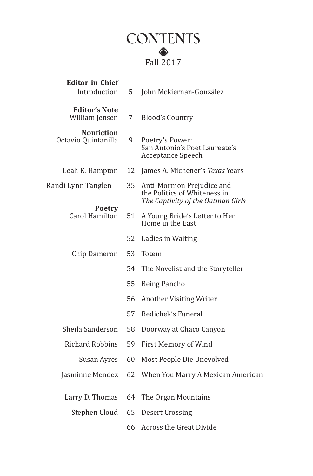

| <b>Editor-in-Chief</b><br>Introduction   | 5  | John Mckiernan-González                                                                        |
|------------------------------------------|----|------------------------------------------------------------------------------------------------|
| <b>Editor's Note</b><br>William Jensen   | 7  | <b>Blood's Country</b>                                                                         |
| <b>Nonfiction</b><br>Octavio Quintanilla | 9  | Poetry's Power:<br>San Antonio's Poet Laureate's<br>Acceptance Speech                          |
| Leah K. Hampton                          | 12 | James A. Michener's Texas Years                                                                |
| Randi Lynn Tanglen                       | 35 | Anti-Mormon Prejudice and<br>the Politics of Whiteness in<br>The Captivity of the Oatman Girls |
| <b>Poetry</b><br>Carol Hamilton          | 51 | A Young Bride's Letter to Her<br>Home in the East                                              |
|                                          | 52 | Ladies in Waiting                                                                              |
| Chip Dameron                             | 53 | Totem                                                                                          |
|                                          | 54 | The Novelist and the Storyteller                                                               |
|                                          | 55 | Being Pancho                                                                                   |
|                                          | 56 | Another Visiting Writer                                                                        |
|                                          | 57 | Bedichek's Funeral                                                                             |
| Sheila Sanderson                         | 58 | Doorway at Chaco Canyon                                                                        |
| <b>Richard Robbins</b>                   | 59 | First Memory of Wind                                                                           |
| Susan Ayres                              | 60 | Most People Die Unevolved                                                                      |
| Jasminne Mendez                          | 62 | When You Marry A Mexican American                                                              |
| Larry D. Thomas                          | 64 | The Organ Mountains                                                                            |
| Stephen Cloud                            | 65 | <b>Desert Crossing</b>                                                                         |
|                                          | 66 | Across the Great Divide                                                                        |